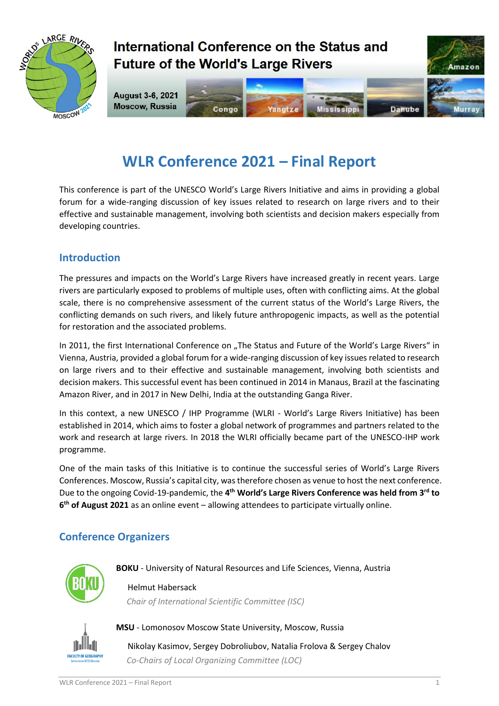

## International Conference on the Status and **Future of the World's Large Rivers**



# **WLR Conference 2021 – Final Report**

This conference is part of the UNESCO World's Large Rivers Initiative and aims in providing a global forum for a wide-ranging discussion of key issues related to research on large rivers and to their effective and sustainable management, involving both scientists and decision makers especially from developing countries.

#### **Introduction**

The pressures and impacts on the World's Large Rivers have increased greatly in recent years. Large rivers are particularly exposed to problems of multiple uses, often with conflicting aims. At the global scale, there is no comprehensive assessment of the current status of the World's Large Rivers, the conflicting demands on such rivers, and likely future anthropogenic impacts, as well as the potential for restoration and the associated problems.

In 2011, the first International Conference on "The Status and Future of the World's Large Rivers" in Vienna, Austria, provided a global forum for a wide-ranging discussion of key issues related to research on large rivers and to their effective and sustainable management, involving both scientists and decision makers. This successful event has been continued in 2014 in Manaus, Brazil at the fascinating Amazon River, and in 2017 in New Delhi, India at the outstanding Ganga River.

In this context, a new UNESCO / IHP Programme (WLRI - World's Large Rivers Initiative) has been established in 2014, which aims to foster a global network of programmes and partners related to the work and research at large rivers. In 2018 the WLRI officially became part of the UNESCO-IHP work programme.

One of the main tasks of this Initiative is to continue the successful series of World's Large Rivers Conferences. Moscow, Russia's capital city, was therefore chosen as venue to host the next conference. Due to the ongoing Covid-19-pandemic, the **4 th World's Large Rivers Conference was held from 3rd to 6 th of August 2021** as an online event – allowing attendees to participate virtually online.

### **Conference Organizers**



**BOKU** - University of Natural Resources and Life Sciences, Vienna, Austria

Helmut Habersack  *Chair of International Scientific Committee (ISC)*



**MSU** - Lomonosov Moscow State University, Moscow, Russia

Nikolay Kasimov, Sergey Dobroliubov, Natalia Frolova & Sergey Chalov  *Co-Chairs of Local Organizing Committee (LOC)*

Amazon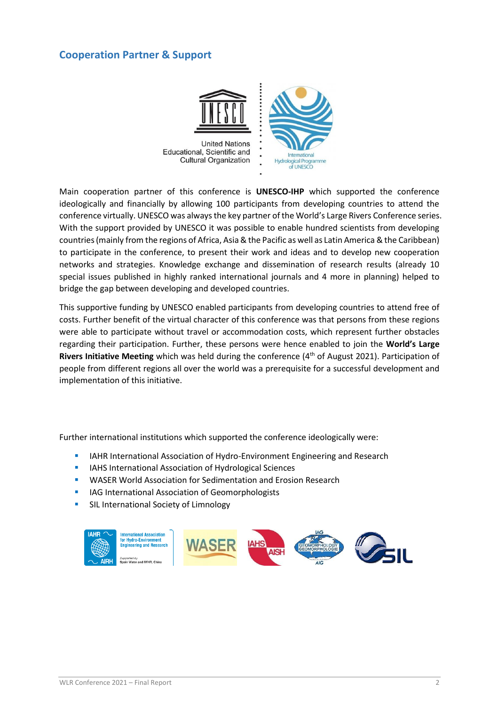#### **Cooperation Partner & Support**



Main cooperation partner of this conference is **UNESCO-IHP** which supported the conference ideologically and financially by allowing 100 participants from developing countries to attend the conference virtually. UNESCO was always the key partner of the World's Large Rivers Conference series. With the support provided by UNESCO it was possible to enable hundred scientists from developing countries (mainly from the regions of Africa, Asia & the Pacific as well as Latin America & the Caribbean) to participate in the conference, to present their work and ideas and to develop new cooperation networks and strategies. Knowledge exchange and dissemination of research results (already 10 special issues published in highly ranked international journals and 4 more in planning) helped to bridge the gap between developing and developed countries.

This supportive funding by UNESCO enabled participants from developing countries to attend free of costs. Further benefit of the virtual character of this conference was that persons from these regions were able to participate without travel or accommodation costs, which represent further obstacles regarding their participation. Further, these persons were hence enabled to join the **World's Large Rivers Initiative Meeting** which was held during the conference (4<sup>th</sup> of August 2021). Participation of people from different regions all over the world was a prerequisite for a successful development and implementation of this initiative.

Further international institutions which supported the conference ideologically were:

- **IIAHR International Association of Hydro-Environment Engineering and Research**
- **IF IAHS International Association of Hydrological Sciences**
- WASER World Association for Sedimentation and Erosion Research
- **IIMG** International Association of Geomorphologists
- **SIL International Society of Limnology**

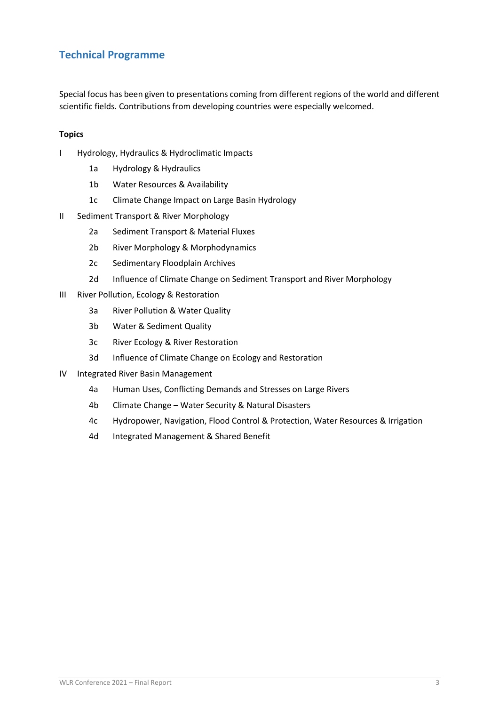### **Technical Programme**

Special focus has been given to presentations coming from different regions of the world and different scientific fields. Contributions from developing countries were especially welcomed.

#### **Topics**

- I Hydrology, Hydraulics & Hydroclimatic Impacts
	- 1a Hydrology & Hydraulics
	- 1b Water Resources & Availability
	- 1c Climate Change Impact on Large Basin Hydrology
- II Sediment Transport & River Morphology
	- 2a Sediment Transport & Material Fluxes
	- 2b River Morphology & Morphodynamics
	- 2c Sedimentary Floodplain Archives
	- 2d Influence of Climate Change on Sediment Transport and River Morphology
- III River Pollution, Ecology & Restoration
	- 3a River Pollution & Water Quality
	- 3b Water & Sediment Quality
	- 3c River Ecology & River Restoration
	- 3d Influence of Climate Change on Ecology and Restoration
- IV Integrated River Basin Management
	- 4a Human Uses, Conflicting Demands and Stresses on Large Rivers
	- 4b Climate Change Water Security & Natural Disasters
	- 4c Hydropower, Navigation, Flood Control & Protection, Water Resources & Irrigation
	- 4d Integrated Management & Shared Benefit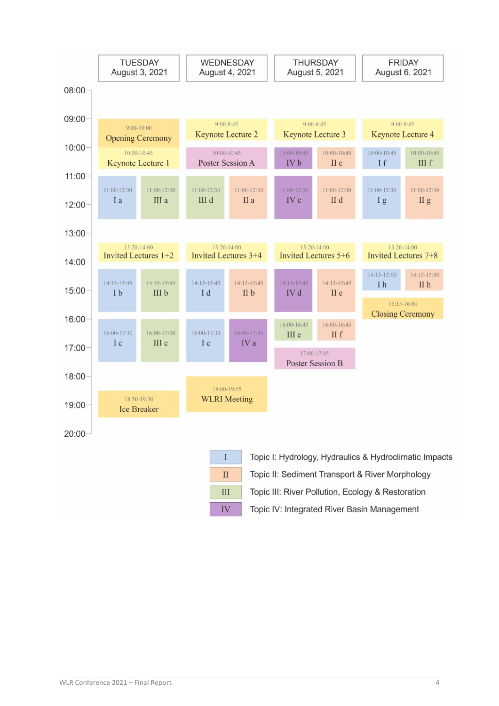